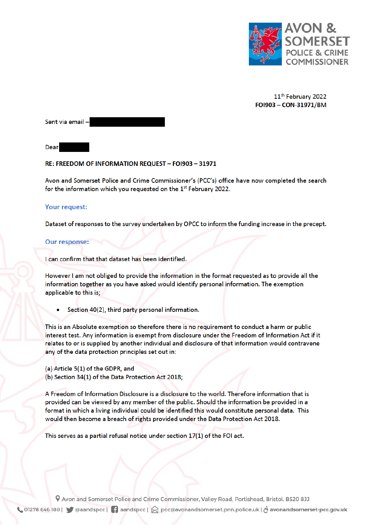

11<sup>th</sup> February 2022 FOI903 - CON-31971/BM

Sent via email-

Dear

## RE: FREEDOM OF INFORMATION REQUEST - FOI903 - 31971

Avon and Somerset Police and Crime Commissioner's (PCC's) office have now completed the search for the information which you requested on the 1st February 2022.

## **Your request:**

Dataset of responses to the survey undertaken by OPCC to inform the funding increase in the precept.

## **Our response:**

I can confirm that that dataset has been identified.

However I am not obliged to provide the information in the format requested as to provide all the information together as you have asked would identify personal information. The exemption applicable to this is;

Section 40(2), third party personal information.

This is an Absolute exemption so therefore there is no requirement to conduct a harm or public interest test. Any information is exempt from disclosure under the Freedom of Information Act if it relates to or is supplied by another individual and disclosure of that information would contravene any of the data protection principles set out in:

(a) Article 5(1) of the GDPR, and

(b) Section 34(1) of the Data Protection Act 2018;

A Freedom of Information Disclosure is a disclosure to the world. Therefore information that is provided can be viewed by any member of the public. Should the information be provided in a format in which a living individual could be identified this would constitute personal data. This would then become a breach of rights provided under the Data Protection Act 2018.

This serves as a partial refusal notice under section  $17(1)$  of the FOI act.

9 Avon and Somerset Police and Crime Commissioner, Valley Road, Portishead, Bristol. BS20 8JJ ↓ 01278 646 188 | ● @aandspcc | ● aandspcc | ☆ pcc@avonandsomerset.pnn.police.uk | & avonandsomerset-pcc.gov.uk